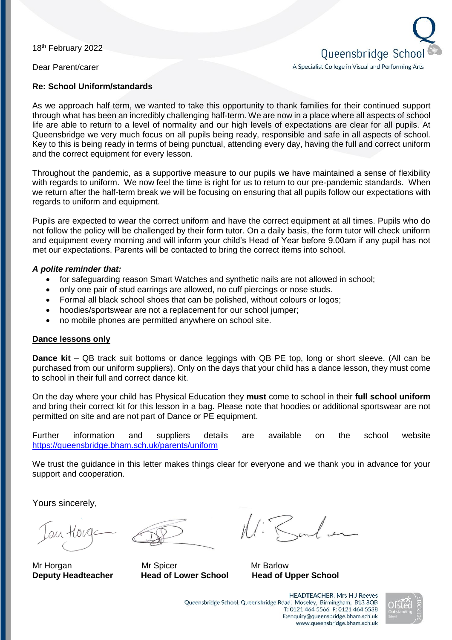18<sup>th</sup> February 2022

Dear Parent/carer

#### **Re: School Uniform/standards**

As we approach half term, we wanted to take this opportunity to thank families for their continued support through what has been an incredibly challenging half-term. We are now in a place where all aspects of school life are able to return to a level of normality and our high levels of expectations are clear for all pupils. At Queensbridge we very much focus on all pupils being ready, responsible and safe in all aspects of school. Key to this is being ready in terms of being punctual, attending every day, having the full and correct uniform and the correct equipment for every lesson.

Throughout the pandemic, as a supportive measure to our pupils we have maintained a sense of flexibility with regards to uniform. We now feel the time is right for us to return to our pre-pandemic standards. When we return after the half-term break we will be focusing on ensuring that all pupils follow our expectations with regards to uniform and equipment.

Pupils are expected to wear the correct uniform and have the correct equipment at all times. Pupils who do not follow the policy will be challenged by their form tutor. On a daily basis, the form tutor will check uniform and equipment every morning and will inform your child's Head of Year before 9.00am if any pupil has not met our expectations. Parents will be contacted to bring the correct items into school.

#### *A polite reminder that:*

- for safeguarding reason Smart Watches and synthetic nails are not allowed in school;
- only one pair of stud earrings are allowed, no cuff piercings or nose studs.
- Formal all black school shoes that can be polished, without colours or logos;
- hoodies/sportswear are not a replacement for our school jumper;
- no mobile phones are permitted anywhere on school site.

### **Dance lessons only**

**Dance kit** – QB track suit bottoms or dance leggings with QB PE top, long or short sleeve. (All can be purchased from our uniform suppliers). Only on the days that your child has a dance lesson, they must come to school in their full and correct dance kit.

On the day where your child has Physical Education they **must** come to school in their **full school uniform** and bring their correct kit for this lesson in a bag. Please note that hoodies or additional sportswear are not permitted on site and are not part of Dance or PE equipment.

Further information and suppliers details are available on the school website <https://queensbridge.bham.sch.uk/parents/uniform>

We trust the guidance in this letter makes things clear for everyone and we thank you in advance for your support and cooperation.

Yours sincerely,

 $auA + 1010$ 

Mr Horgan Mr Spicer Mr Barlow **Deputy Headteacher Head of Lower School Head of Upper School**

N: Barbar